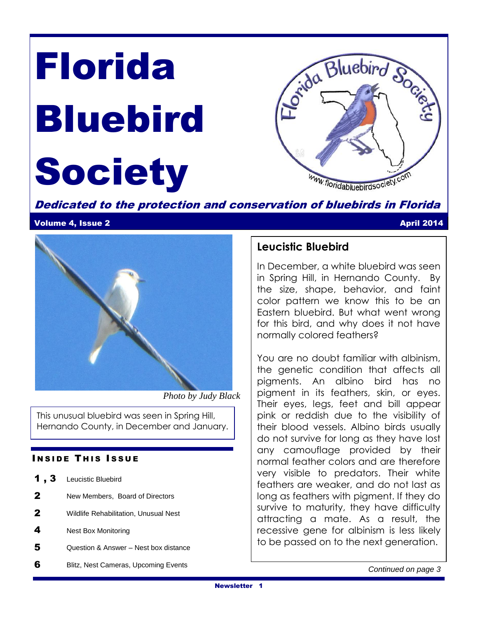# Florida Bluebird **Society**



Dedicated to the protection and conservation of bluebirds in Florida

#### Volume 4, Issue 2 April 2014



 *Photo by Judy Black* 

This unusual bluebird was seen in Spring Hill, Hernando County, in December and January.

### **INSIDE THIS ISSUE**

| И |  |  | Leucistic Bluebird |
|---|--|--|--------------------|
|---|--|--|--------------------|

- 2 New Members, Board of Directors
- 2 Wildlife Rehabilitation, Unusual Nest
- 4 Nest Box Monitoring
- 5 Question & Answer Nest box distance
- **6** Blitz, Nest Cameras, Upcoming Events

### **Leucistic Bluebird**

In December, a white bluebird was seen in Spring Hill, in Hernando County. By the size, shape, behavior, and faint color pattern we know this to be an Eastern bluebird. But what went wrong for this bird, and why does it not have normally colored feathers?

You are no doubt familiar with albinism, the genetic condition that affects all pigments. An albino bird has no pigment in its feathers, skin, or eyes. Their eyes, legs, feet and bill appear pink or reddish due to the visibility of their blood vessels. Albino birds usually do not survive for long as they have lost any camouflage provided by their normal feather colors and are therefore very visible to predators. Their white feathers are weaker, and do not last as long as feathers with pigment. If they do survive to maturity, they have difficulty attracting a mate. As a result, the recessive gene for albinism is less likely to be passed on to the next generation.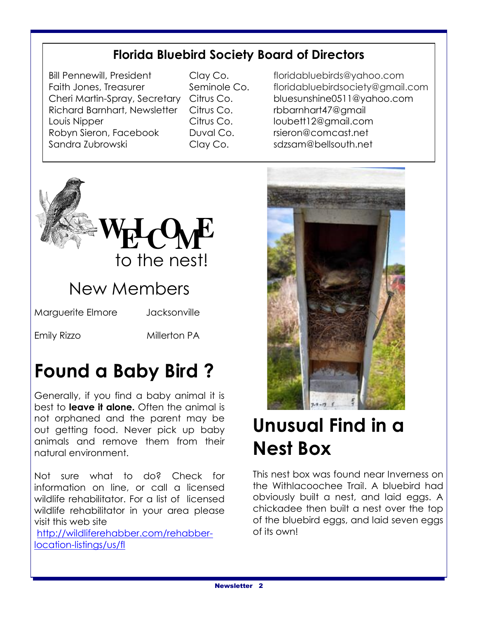### **Florida Bluebird Society Board of Directors**

Richard Barnhart, Newsletter Citrus Co. The rbbarnhart47@gmail Louis Nipper Citrus Co. [loubett12@gmail.com](mailto:loubett12@gmail.com) Robyn Sieron, Facebook Duval Co. rsieron@comcast.net Sandra Zubrowski Clay Co. [sdzsam@bellsouth.net](mailto:sdzsam@bellsouth.net)

Bill Pennewill, President Clay Co. floridabluebirds@yahoo.com Faith Jones, Treasurer Seminole Co. floridabluebirdsociety@gmail.com Cheri Martin-Spray, Secretary Citrus Co. [bluesunshine0511@yahoo.com](mailto:bluesunshine0511@yahoo.com)



Emily Rizzo Millerton PA

# **Found a Baby Bird ?**

Generally, if you find a baby animal it is best to **leave it alone.** Often the animal is not orphaned and the parent may be out getting food. Never pick up baby animals and remove them from their natural environment.

Not sure what to do? Check for information on line, or call a licensed wildlife rehabilitator. For a list of licensed wildlife rehabilitator in your area please visit this web site

[http://wildliferehabber.com/rehabber](http://wildliferehabber.com/rehabber-location-listings/us/fl)[location-listings/us/fl](http://wildliferehabber.com/rehabber-location-listings/us/fl)



# **Unusual Find in a Nest Box**

This nest box was found near Inverness on the Withlacoochee Trail. A bluebird had obviously built a nest, and laid eggs. A chickadee then built a nest over the top of the bluebird eggs, and laid seven eggs of its own!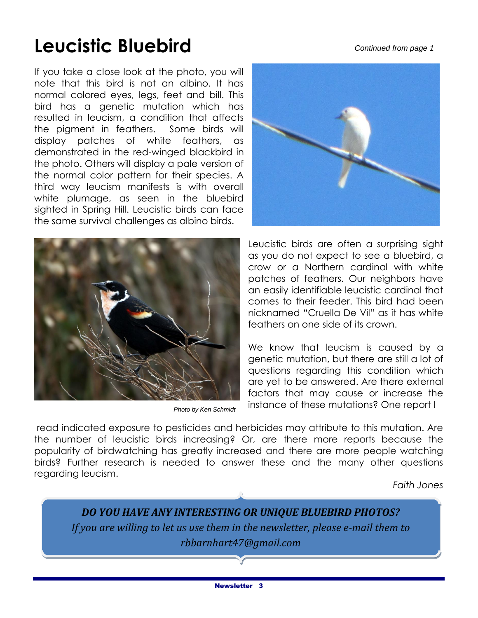#### *Continued from page 1*

# **Leucistic Bluebird**

If you take a close look at the photo, you will note that this bird is not an albino. It has normal colored eyes, legs, feet and bill. This bird has a genetic mutation which has resulted in leucism, a condition that affects the pigment in feathers. Some birds will display patches of white feathers, as demonstrated in the red-winged blackbird in the photo. Others will display a pale version of the normal color pattern for their species. A third way leucism manifests is with overall white plumage, as seen in the bluebird sighted in Spring Hill. Leucistic birds can face the same survival challenges as albino birds.



*Photo by Ken Schmidt*



Leucistic birds are often a surprising sight as you do not expect to see a bluebird, a crow or a Northern cardinal with white patches of feathers. Our neighbors have an easily identifiable leucistic cardinal that comes to their feeder. This bird had been nicknamed "Cruella De Vil" as it has white feathers on one side of its crown.

We know that leucism is caused by a genetic mutation, but there are still a lot of questions regarding this condition which are yet to be answered. Are there external factors that may cause or increase the instance of these mutations? One report I

read indicated exposure to pesticides and herbicides may attribute to this mutation. Are the number of leucistic birds increasing? Or, are there more reports because the popularity of birdwatching has greatly increased and there are more people watching birds? Further research is needed to answer these and the many other questions regarding leucism.

*Faith Jones*

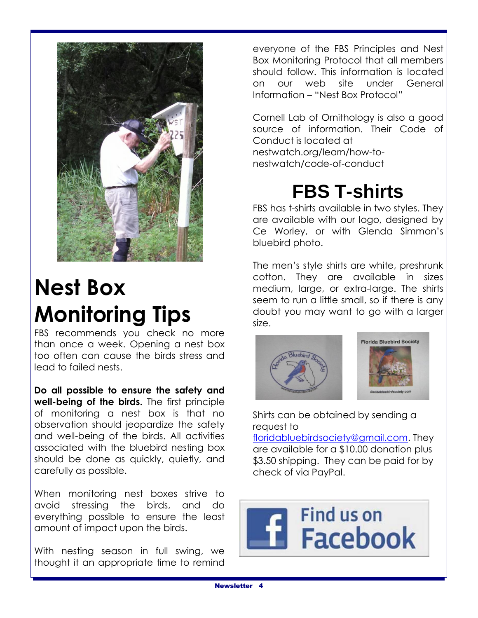

# **Nest Box Monitoring Tips**

FBS recommends you check no more than once a week. Opening a nest box too often can cause the birds stress and lead to failed nests.

**Do all possible to ensure the safety and well-being of the birds.** The first principle of monitoring a nest box is that no observation should jeopardize the safety and well-being of the birds. All activities associated with the bluebird nesting box should be done as quickly, quietly, and carefully as possible.

When monitoring nest boxes strive to avoid stressing the birds, and do everything possible to ensure the least amount of impact upon the birds.

With nesting season in full swing, we thought it an appropriate time to remind everyone of the FBS Principles and Nest Box Monitoring Protocol that all members should follow. This information is located on our web site under General Information – "Nest Box Protocol"

Cornell Lab of Ornithology is also a good source of information. Their Code of Conduct is located at nestwatch.org/learn/how-tonestwatch/code-of-conduct

### **FBS T-shirts**

FBS has t-shirts available in two styles. They are available with our logo, designed by Ce Worley, or with Glenda Simmon's bluebird photo.

The men's style shirts are white, preshrunk cotton. They are available in sizes medium, large, or extra-large. The shirts seem to run a little small, so if there is any doubt you may want to go with a larger size.



Shirts can be obtained by sending a request to

[floridabluebirdsociety@gmail.com.](mailto:floridabluebirdsociety@gmail.com) They are available for a \$10.00 donation plus \$3.50 shipping. They can be paid for by check of via PayPal.

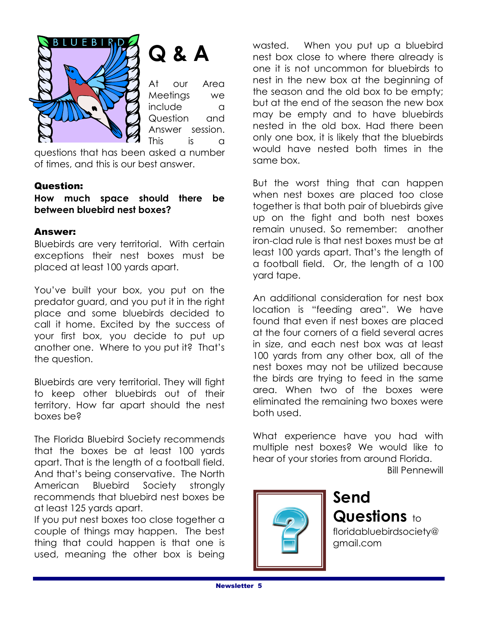

# **Q & A**

At our Area Meetings we include a Question and Answer session. This is a

questions that has been asked a number of times, and this is our best answer.

### Question:

**How much space should there be between bluebird nest boxes?**

### Answer:

Bluebirds are very territorial. With certain exceptions their nest boxes must be placed at least 100 yards apart.

You've built your box, you put on the predator guard, and you put it in the right place and some bluebirds decided to call it home. Excited by the success of your first box, you decide to put up another one. Where to you put it? That's the question.

Bluebirds are very territorial. They will fight to keep other bluebirds out of their territory. How far apart should the nest boxes be?

The Florida Bluebird Society recommends that the boxes be at least 100 yards apart. That is the length of a football field. And that's being conservative. The North American Bluebird Society strongly recommends that bluebird nest boxes be at least 125 yards apart.

If you put nest boxes too close together a couple of things may happen. The best thing that could happen is that one is used, meaning the other box is being

wasted. When you put up a bluebird nest box close to where there already is one it is not uncommon for bluebirds to nest in the new box at the beginning of the season and the old box to be empty; but at the end of the season the new box may be empty and to have bluebirds nested in the old box. Had there been only one box, it is likely that the bluebirds would have nested both times in the same box.

But the worst thing that can happen when nest boxes are placed too close together is that both pair of bluebirds give up on the fight and both nest boxes remain unused. So remember: another iron-clad rule is that nest boxes must be at least 100 yards apart. That's the length of a football field. Or, the length of a 100 yard tape.

An additional consideration for nest box location is "feeding area". We have found that even if nest boxes are placed at the four corners of a field several acres in size, and each nest box was at least 100 yards from any other box, all of the nest boxes may not be utilized because the birds are trying to feed in the same area. When two of the boxes were eliminated the remaining two boxes were both used.

What experience have you had with multiple nest boxes? We would like to hear of your stories from around Florida.

Bill Pennewill



**Send Questions** to floridabluebirdsociety@ gmail.com